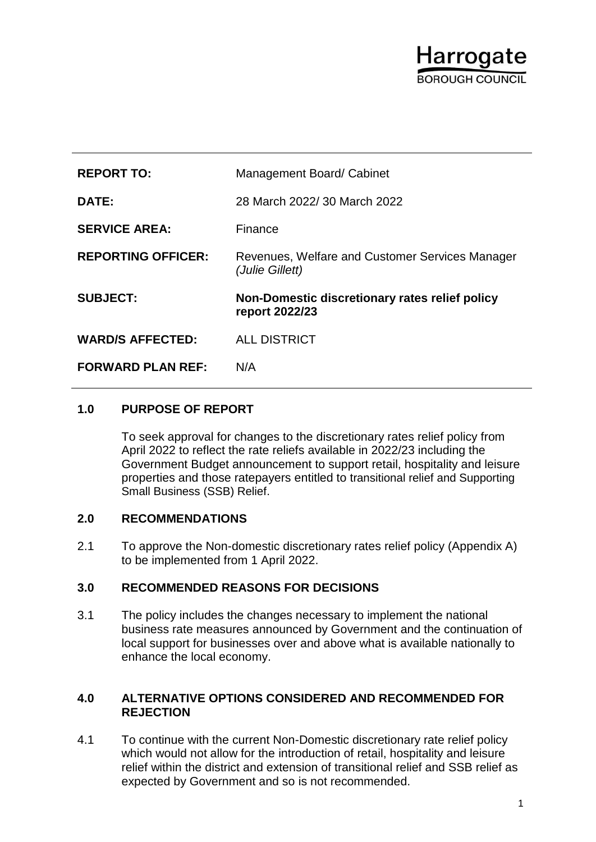# Harrogate **SOBOLIGH COLINCIL**

| <b>REPORT TO:</b>         | Management Board/ Cabinet                                          |
|---------------------------|--------------------------------------------------------------------|
| DATE:                     | 28 March 2022/ 30 March 2022                                       |
| <b>SERVICE AREA:</b>      | Finance                                                            |
| <b>REPORTING OFFICER:</b> | Revenues, Welfare and Customer Services Manager<br>(Julie Gillett) |
|                           |                                                                    |
| <b>SUBJECT:</b>           | Non-Domestic discretionary rates relief policy<br>report 2022/23   |
| <b>WARD/S AFFECTED:</b>   | <b>ALL DISTRICT</b>                                                |

## **1.0 PURPOSE OF REPORT**

To seek approval for changes to the discretionary rates relief policy from April 2022 to reflect the rate reliefs available in 2022/23 including the Government Budget announcement to support retail, hospitality and leisure properties and those ratepayers entitled to transitional relief and Supporting Small Business (SSB) Relief.

## **2.0 RECOMMENDATIONS**

2.1 To approve the Non-domestic discretionary rates relief policy (Appendix A) to be implemented from 1 April 2022.

## **3.0 RECOMMENDED REASONS FOR DECISIONS**

3.1 The policy includes the changes necessary to implement the national business rate measures announced by Government and the continuation of local support for businesses over and above what is available nationally to enhance the local economy.

#### **4.0 ALTERNATIVE OPTIONS CONSIDERED AND RECOMMENDED FOR REJECTION**

4.1 To continue with the current Non-Domestic discretionary rate relief policy which would not allow for the introduction of retail, hospitality and leisure relief within the district and extension of transitional relief and SSB relief as expected by Government and so is not recommended.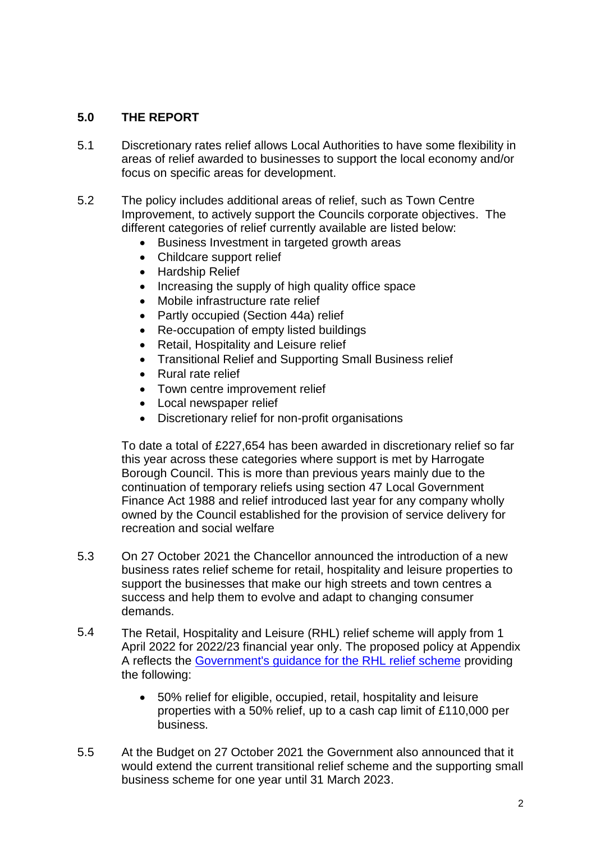## **5.0 THE REPORT**

- 5.1 Discretionary rates relief allows Local Authorities to have some flexibility in areas of relief awarded to businesses to support the local economy and/or focus on specific areas for development.
- 5.2 The policy includes additional areas of relief, such as Town Centre Improvement, to actively support the Councils corporate objectives. The different categories of relief currently available are listed below:
	- Business Investment in targeted growth areas
	- Childcare support relief
	- Hardship Relief
	- Increasing the supply of high quality office space
	- Mobile infrastructure rate relief
	- Partly occupied (Section 44a) relief
	- Re-occupation of empty listed buildings
	- Retail, Hospitality and Leisure relief
	- Transitional Relief and Supporting Small Business relief
	- Rural rate relief
	- Town centre improvement relief
	- Local newspaper relief
	- Discretionary relief for non-profit organisations

To date a total of £227,654 has been awarded in discretionary relief so far this year across these categories where support is met by Harrogate Borough Council. This is more than previous years mainly due to the continuation of temporary reliefs using section 47 Local Government Finance Act 1988 and relief introduced last year for any company wholly owned by the Council established for the provision of service delivery for recreation and social welfare

- 5.3 On 27 October 2021 the Chancellor announced the introduction of a new business rates relief scheme for retail, hospitality and leisure properties to support the businesses that make our high streets and town centres a success and help them to evolve and adapt to changing consumer demands.
- 5.4 The Retail, Hospitality and Leisure (RHL) relief scheme will apply from 1 April 2022 for 2022/23 financial year only. The proposed policy at Appendix A reflects the [Government's guidance for the RHL relief scheme](https://www.gov.uk/government/publications/business-rates-guidance-202223-retail-hospitality-and-leisure-relief-scheme/202223-retail-hospitality-and-leisure-relief-scheme-local-authority-guidance) providing the following:
	- 50% relief for eligible, occupied, retail, hospitality and leisure properties with a 50% relief, up to a cash cap limit of £110,000 per business.
- 5.5 At the Budget on 27 October 2021 the Government also announced that it would extend the current transitional relief scheme and the supporting small business scheme for one year until 31 March 2023.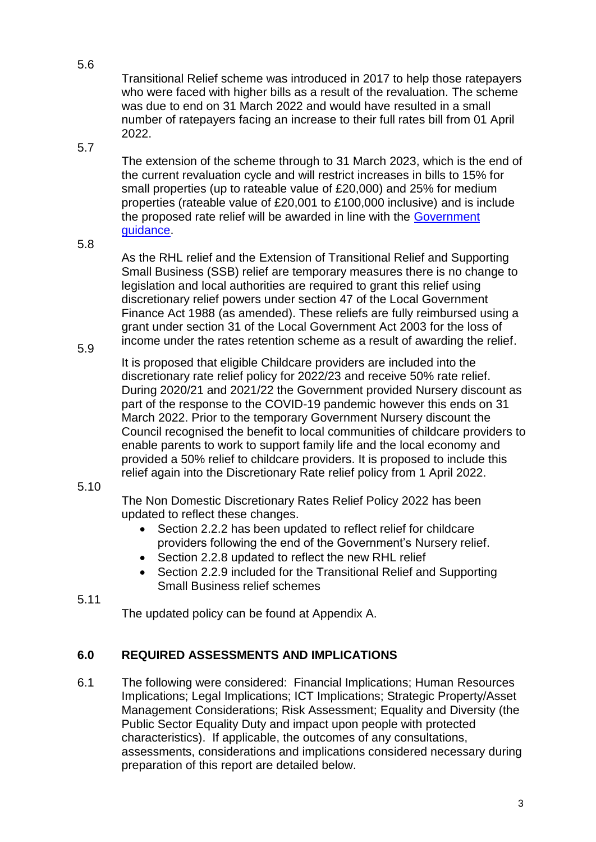5.6

Transitional Relief scheme was introduced in 2017 to help those ratepayers who were faced with higher bills as a result of the revaluation. The scheme was due to end on 31 March 2022 and would have resulted in a small number of ratepayers facing an increase to their full rates bill from 01 April 2022.

5.7

The extension of the scheme through to 31 March 2023, which is the end of the current revaluation cycle and will restrict increases in bills to 15% for small properties (up to rateable value of £20,000) and 25% for medium properties (rateable value of £20,001 to £100,000 inclusive) and is include the proposed rate relief will be awarded in line with the [Government](https://www.gov.uk/government/publications/business-rates-guidance-extension-of-transitional-relief-and-supporting-small-business-relief-for-small-and-medium-properties)  [guidance.](https://www.gov.uk/government/publications/business-rates-guidance-extension-of-transitional-relief-and-supporting-small-business-relief-for-small-and-medium-properties)

5.8

5.9

As the RHL relief and the Extension of Transitional Relief and Supporting Small Business (SSB) relief are temporary measures there is no change to legislation and local authorities are required to grant this relief using discretionary relief powers under section 47 of the Local Government Finance Act 1988 (as amended). These reliefs are fully reimbursed using a grant under section 31 of the Local Government Act 2003 for the loss of income under the rates retention scheme as a result of awarding the relief.

It is proposed that eligible Childcare providers are included into the discretionary rate relief policy for 2022/23 and receive 50% rate relief. During 2020/21 and 2021/22 the Government provided Nursery discount as part of the response to the COVID-19 pandemic however this ends on 31 March 2022. Prior to the temporary Government Nursery discount the Council recognised the benefit to local communities of childcare providers to enable parents to work to support family life and the local economy and provided a 50% relief to childcare providers. It is proposed to include this relief again into the Discretionary Rate relief policy from 1 April 2022.

#### 5.10

The Non Domestic Discretionary Rates Relief Policy 2022 has been updated to reflect these changes.

- Section 2.2.2 has been updated to reflect relief for childcare providers following the end of the Government's Nursery relief.
- Section 2.2.8 updated to reflect the new RHL relief
- Section 2.2.9 included for the Transitional Relief and Supporting Small Business relief schemes
- 5.11

The updated policy can be found at Appendix A.

## **6.0 REQUIRED ASSESSMENTS AND IMPLICATIONS**

6.1 The following were considered: Financial Implications; Human Resources Implications; Legal Implications; ICT Implications; Strategic Property/Asset Management Considerations; Risk Assessment; Equality and Diversity (the Public Sector Equality Duty and impact upon people with protected characteristics). If applicable, the outcomes of any consultations, assessments, considerations and implications considered necessary during preparation of this report are detailed below.